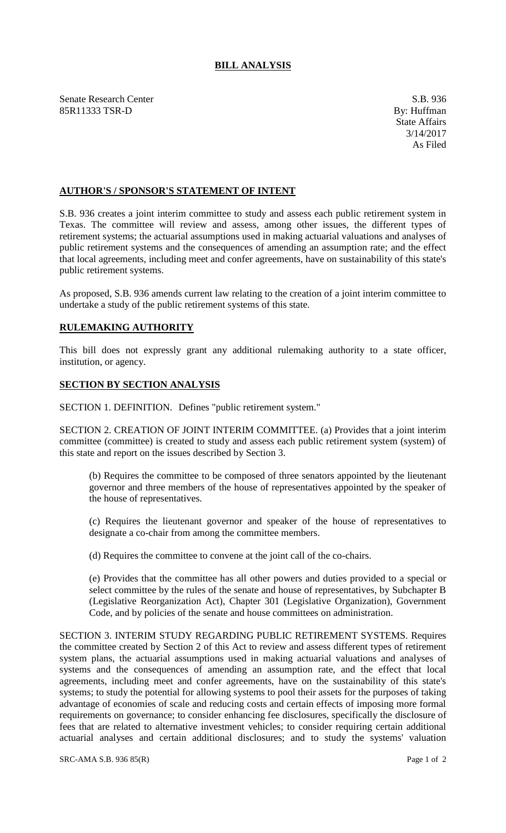## **BILL ANALYSIS**

Senate Research Center S.B. 936<br>
S.B. 936<br>
S.B. 936<br>
By: Huffman<br>
By: Huffman 85R11333 TSR-D

## **AUTHOR'S / SPONSOR'S STATEMENT OF INTENT**

S.B. 936 creates a joint interim committee to study and assess each public retirement system in Texas. The committee will review and assess, among other issues, the different types of retirement systems; the actuarial assumptions used in making actuarial valuations and analyses of public retirement systems and the consequences of amending an assumption rate; and the effect that local agreements, including meet and confer agreements, have on sustainability of this state's public retirement systems.

As proposed, S.B. 936 amends current law relating to the creation of a joint interim committee to undertake a study of the public retirement systems of this state.

## **RULEMAKING AUTHORITY**

This bill does not expressly grant any additional rulemaking authority to a state officer, institution, or agency.

## **SECTION BY SECTION ANALYSIS**

SECTION 1. DEFINITION. Defines "public retirement system."

SECTION 2. CREATION OF JOINT INTERIM COMMITTEE. (a) Provides that a joint interim committee (committee) is created to study and assess each public retirement system (system) of this state and report on the issues described by Section 3.

(b) Requires the committee to be composed of three senators appointed by the lieutenant governor and three members of the house of representatives appointed by the speaker of the house of representatives.

(c) Requires the lieutenant governor and speaker of the house of representatives to designate a co-chair from among the committee members.

(d) Requires the committee to convene at the joint call of the co-chairs.

(e) Provides that the committee has all other powers and duties provided to a special or select committee by the rules of the senate and house of representatives, by Subchapter B (Legislative Reorganization Act), Chapter 301 (Legislative Organization), Government Code, and by policies of the senate and house committees on administration.

SECTION 3. INTERIM STUDY REGARDING PUBLIC RETIREMENT SYSTEMS. Requires the committee created by Section 2 of this Act to review and assess different types of retirement system plans, the actuarial assumptions used in making actuarial valuations and analyses of systems and the consequences of amending an assumption rate, and the effect that local agreements, including meet and confer agreements, have on the sustainability of this state's systems; to study the potential for allowing systems to pool their assets for the purposes of taking advantage of economies of scale and reducing costs and certain effects of imposing more formal requirements on governance; to consider enhancing fee disclosures, specifically the disclosure of fees that are related to alternative investment vehicles; to consider requiring certain additional actuarial analyses and certain additional disclosures; and to study the systems' valuation